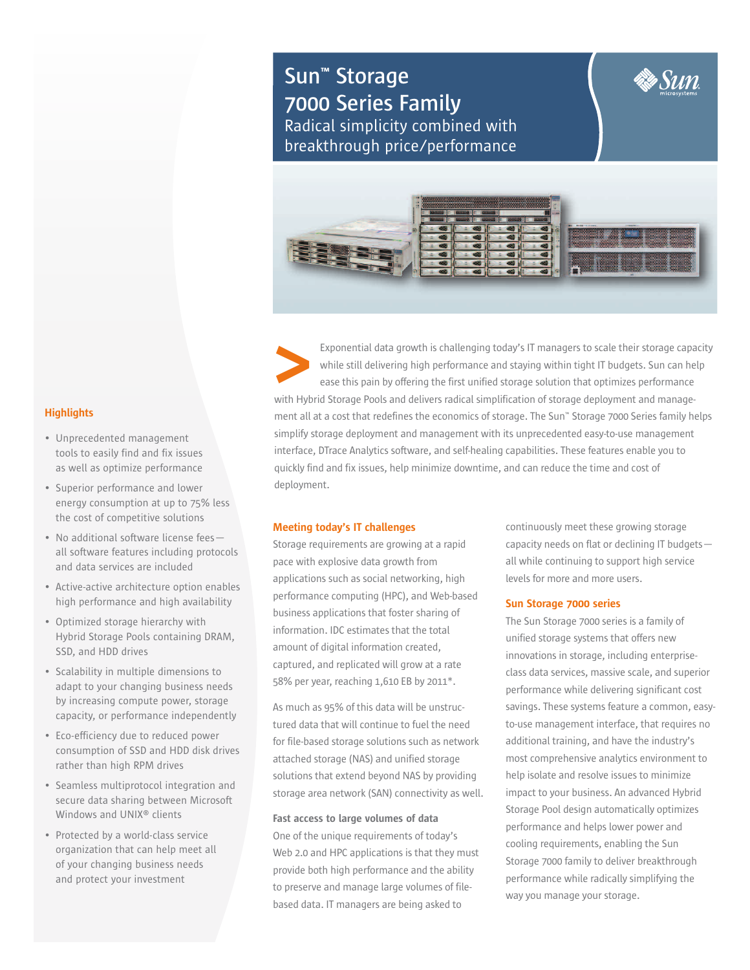# **Sun™ Storage 7000 Series Family** Radical simplicity combined with breakthrough price/performance



Exponential data growth is challenging today's IT managers to scale their storage capacity while still delivering high performance and staying within tight IT budgets. Sun can help ease this pain by offering the first unified storage solution that optimizes performance with Hybrid Storage Pools and delivers radical simplification of storage deployment and management all at a cost that redefines the economics of storage. The Sun™ Storage 7000 Series family helps simplify storage deployment and management with its unprecedented easy-to-use management interface, DTrace Analytics software, and self-healing capabilities. These features enable you to quickly find and fix issues, help minimize downtime, and can reduce the time and cost of deployment. **<**

# **Meeting today's IT challenges**

Storage requirements are growing at a rapid pace with explosive data growth from applications such as social networking, high performance computing (HPC), and Web-based business applications that foster sharing of information. IDC estimates that the total amount of digital information created, captured, and replicated will grow at a rate 58% per year, reaching 1,610 EB by 2011\*.

As much as 95% of this data will be unstructured data that will continue to fuel the need for file-based storage solutions such as network attached storage (NAS) and unified storage solutions that extend beyond NAS by providing storage area network (SAN) connectivity as well.

### **Fast access to large volumes of data**

One of the unique requirements of today's Web 2.0 and HPC applications is that they must provide both high performance and the ability to preserve and manage large volumes of filebased data. IT managers are being asked to

continuously meet these growing storage capacity needs on flat or declining IT budgets all while continuing to support high service levels for more and more users.

#### **Sun Storage 7000 series**

The Sun Storage 7000 series is a family of unified storage systems that offers new innovations in storage, including enterpriseclass data services, massive scale, and superior performance while delivering significant cost savings. These systems feature a common, easyto-use management interface, that requires no additional training, and have the industry's most comprehensive analytics environment to help isolate and resolve issues to minimize impact to your business. An advanced Hybrid Storage Pool design automatically optimizes performance and helps lower power and cooling requirements, enabling the Sun Storage 7000 family to deliver breakthrough performance while radically simplifying the way you manage your storage.

### **Highlights**

- Unprecedented management tools to easily find and fix issues as well as optimize performance
- Superior performance and lower energy consumption at up to 75% less the cost of competitive solutions
- No additional software license fees all software features including protocols and data services are included
- Active-active architecture option enables high performance and high availability
- Optimized storage hierarchy with Hybrid Storage Pools containing DRAM, SSD, and HDD drives
- Scalability in multiple dimensions to adapt to your changing business needs by increasing compute power, storage capacity, or performance independently
- Eco-efficiency due to reduced power consumption of SSD and HDD disk drives rather than high RPM drives
- Seamless multiprotocol integration and secure data sharing between Microsoft Windows and UNIX® clients
- Protected by a world-class service organization that can help meet all of your changing business needs and protect your investment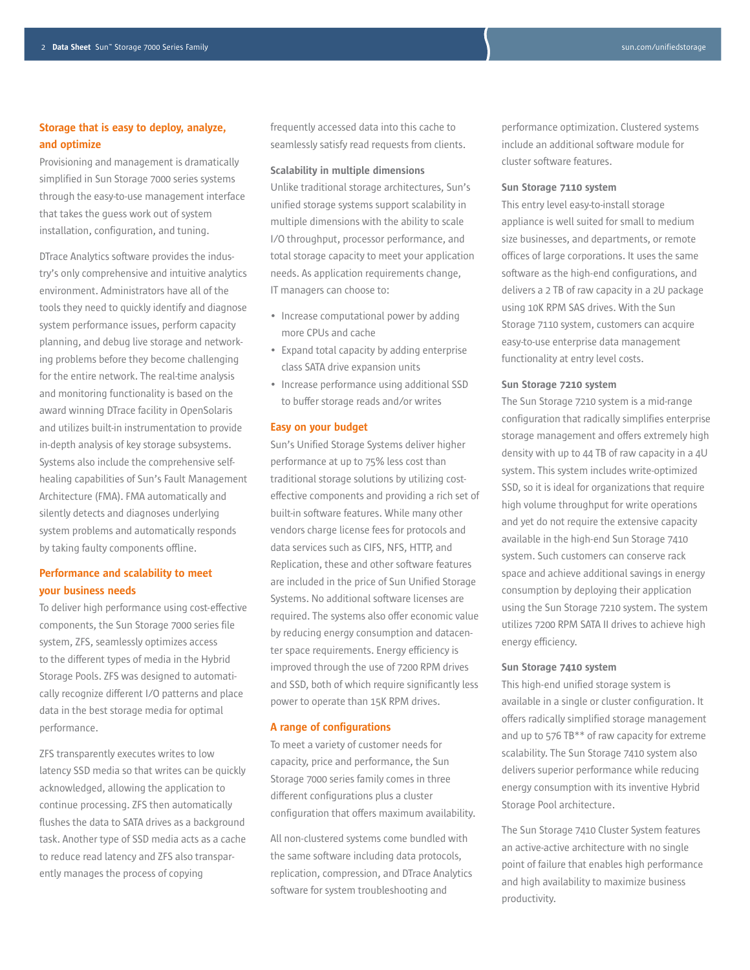# **Storage that is easy to deploy, analyze, and optimize**

Provisioning and management is dramatically simplified in Sun Storage 7000 series systems through the easy-to-use management interface that takes the guess work out of system installation, configuration, and tuning.

DTrace Analytics software provides the industry's only comprehensive and intuitive analytics environment. Administrators have all of the tools they need to quickly identify and diagnose system performance issues, perform capacity planning, and debug live storage and networking problems before they become challenging for the entire network. The real-time analysis and monitoring functionality is based on the award winning DTrace facility in OpenSolaris and utilizes built-in instrumentation to provide in-depth analysis of key storage subsystems. Systems also include the comprehensive selfhealing capabilities of Sun's Fault Management Architecture (FMA). FMA automatically and silently detects and diagnoses underlying system problems and automatically responds by taking faulty components offline.

# **Performance and scalability to meet your business needs**

To deliver high performance using cost-effective components, the Sun Storage 7000 series file system, ZFS, seamlessly optimizes access to the different types of media in the Hybrid Storage Pools. ZFS was designed to automatically recognize different I/O patterns and place data in the best storage media for optimal performance.

ZFS transparently executes writes to low latency SSD media so that writes can be quickly acknowledged, allowing the application to continue processing. ZFS then automatically flushes the data to SATA drives as a background task. Another type of SSD media acts as a cache to reduce read latency and ZFS also transparently manages the process of copying

frequently accessed data into this cache to seamlessly satisfy read requests from clients.

#### **Scalability in multiple dimensions**

Unlike traditional storage architectures, Sun's unified storage systems support scalability in multiple dimensions with the ability to scale I/O throughput, processor performance, and total storage capacity to meet your application needs. As application requirements change, IT managers can choose to:

- Increase computational power by adding more CPUs and cache
- Expand total capacity by adding enterprise class SATA drive expansion units
- Increase performance using additional SSD to buffer storage reads and/or writes

#### **Easy on your budget**

Sun's Unified Storage Systems deliver higher performance at up to 75% less cost than traditional storage solutions by utilizing costeffective components and providing a rich set of built-in software features. While many other vendors charge license fees for protocols and data services such as CIFS, NFS, HTTP, and Replication, these and other software features are included in the price of Sun Unified Storage Systems. No additional software licenses are required. The systems also offer economic value by reducing energy consumption and datacenter space requirements. Energy efficiency is improved through the use of 7200 RPM drives and SSD, both of which require significantly less power to operate than 15K RPM drives.

#### **A range of configurations**

To meet a variety of customer needs for capacity, price and performance, the Sun Storage 7000 series family comes in three different configurations plus a cluster configuration that offers maximum availability.

All non-clustered systems come bundled with the same software including data protocols, replication, compression, and DTrace Analytics software for system troubleshooting and

performance optimization. Clustered systems include an additional software module for cluster software features.

#### **Sun Storage 7110 system**

This entry level easy-to-install storage appliance is well suited for small to medium size businesses, and departments, or remote offices of large corporations. It uses the same software as the high-end configurations, and delivers a 2 TB of raw capacity in a 2U package using 10K RPM SAS drives. With the Sun Storage 7110 system, customers can acquire easy-to-use enterprise data management functionality at entry level costs.

#### **Sun Storage 7210 system**

The Sun Storage 7210 system is a mid-range configuration that radically simplifies enterprise storage management and offers extremely high density with up to 44 TB of raw capacity in a 4U system. This system includes write-optimized SSD, so it is ideal for organizations that require high volume throughput for write operations and yet do not require the extensive capacity available in the high-end Sun Storage 7410 system. Such customers can conserve rack space and achieve additional savings in energy consumption by deploying their application using the Sun Storage 7210 system. The system utilizes 7200 RPM SATA II drives to achieve high energy efficiency.

#### **Sun Storage 7410 system**

This high-end unified storage system is available in a single or cluster configuration. It offers radically simplified storage management and up to 576 TB\*\* of raw capacity for extreme scalability. The Sun Storage 7410 system also delivers superior performance while reducing energy consumption with its inventive Hybrid Storage Pool architecture.

The Sun Storage 7410 Cluster System features an active-active architecture with no single point of failure that enables high performance and high availability to maximize business productivity.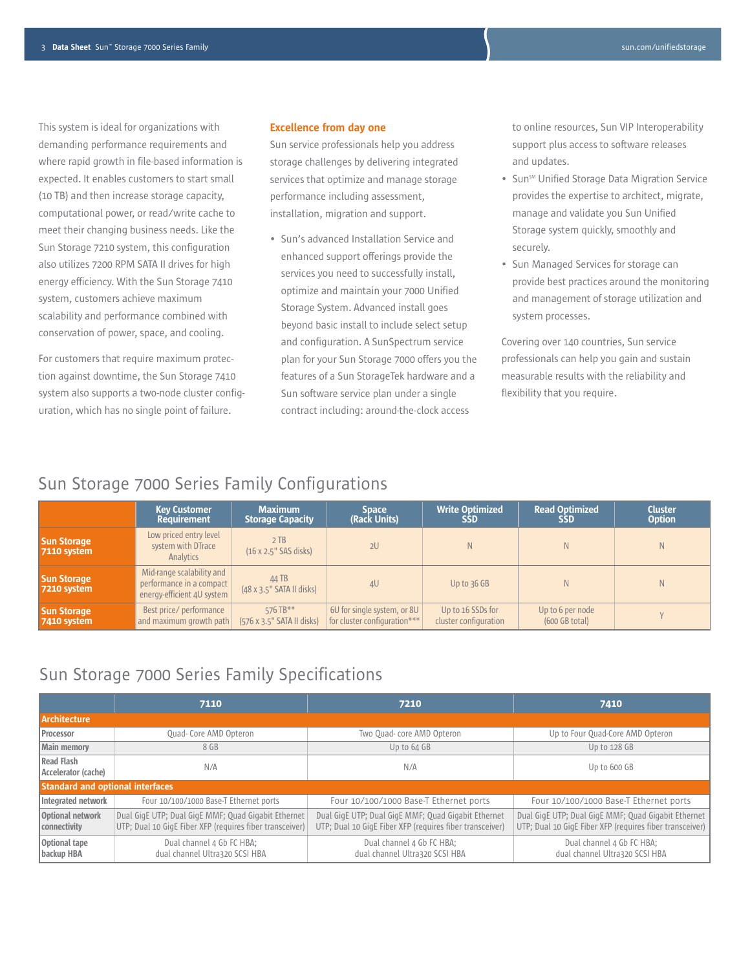This system is ideal for organizations with demanding performance requirements and where rapid growth in file-based information is expected. It enables customers to start small (10 TB) and then increase storage capacity, computational power, or read/write cache to meet their changing business needs. Like the Sun Storage 7210 system, this configuration also utilizes 7200 RPM SATA II drives for high energy efficiency. With the Sun Storage 7410 system, customers achieve maximum scalability and performance combined with conservation of power, space, and cooling.

For customers that require maximum protection against downtime, the Sun Storage 7410 system also supports a two-node cluster configuration, which has no single point of failure.

#### **Excellence from day one**

Sun service professionals help you address storage challenges by delivering integrated services that optimize and manage storage performance including assessment, installation, migration and support.

• Sun's advanced Installation Service and enhanced support offerings provide the services you need to successfully install, optimize and maintain your 7000 Unified Storage System. Advanced install goes beyond basic install to include select setup and configuration. A SunSpectrum service plan for your Sun Storage 7000 offers you the features of a Sun StorageTek hardware and a Sun software service plan under a single contract including: around-the-clock access

to online resources, Sun VIP Interoperability support plus access to software releases and updates.

- Sun<sup>sm</sup> Unified Storage Data Migration Service provides the expertise to architect, migrate, manage and validate you Sun Unified Storage system quickly, smoothly and securely.
- Sun Managed Services for storage can provide best practices around the monitoring and management of storage utilization and system processes.

Covering over 140 countries, Sun service professionals can help you gain and sustain measurable results with the reliability and flexibility that you require.

# Sun Storage 7000 Series Family Configurations

|                                          | <b>Key Customer</b>                                                                 | <b>Maximum</b>                            | <b>Space</b>                 | <b>Write Optimized</b> | <b>Read Optimized</b> | <b>Cluster</b> |
|------------------------------------------|-------------------------------------------------------------------------------------|-------------------------------------------|------------------------------|------------------------|-----------------------|----------------|
|                                          | <b>Requirement</b>                                                                  | <b>Storage Capacity</b>                   | (Rack Units)                 | <b>SSD</b>             | <b>SSD</b>            | <b>Option</b>  |
| <b>Sun Storage</b><br><b>7110 system</b> | Low priced entry level<br>system with DTrace<br>Analytics                           | 2TB<br>$(16 \times 2.5"$ SAS disks)       | 2U                           | N                      | N.                    | N.             |
| <b>Sun Storage</b><br><b>7210 system</b> | Mid-range scalability and<br>performance in a compact<br>energy-efficient 4U system | 44 TB<br>$(48 \times 3.5"$ SATA II disks) | 4 <sup>U</sup>               | Up to $36$ GB          | N.                    | N.             |
| <b>Sun Storage</b>                       | Best price/ performance                                                             | 576 TB**                                  | 6U for single system, or 8U  | Up to 16 SSDs for      | Up to 6 per node      |                |
| 7410 system                              | and maximum growth path                                                             | (576 x 3.5" SATA II disks)                | for cluster configuration*** | cluster configuration  | $(600$ GB total)      |                |

# Sun Storage 7000 Series Family Specifications

|                                         | 7110                                                                                                            | 7210                                                                                                            | 7410                                                                                                            |  |  |  |
|-----------------------------------------|-----------------------------------------------------------------------------------------------------------------|-----------------------------------------------------------------------------------------------------------------|-----------------------------------------------------------------------------------------------------------------|--|--|--|
| <b>Architecture</b>                     |                                                                                                                 |                                                                                                                 |                                                                                                                 |  |  |  |
| Processor                               | Quad- Core AMD Opteron                                                                                          | Two Quad-core AMD Opteron                                                                                       | Up to Four Quad-Core AMD Opteron                                                                                |  |  |  |
| Main memory                             | 8 GB                                                                                                            | Up to 64 GB                                                                                                     | Up to 128 GB                                                                                                    |  |  |  |
| Read Flash<br>Accelerator (cache)       | N/A                                                                                                             | N/A                                                                                                             | Up to 600 GB                                                                                                    |  |  |  |
| <b>Standard and optional interfaces</b> |                                                                                                                 |                                                                                                                 |                                                                                                                 |  |  |  |
| Integrated network                      | Four 10/100/1000 Base-T Ethernet ports                                                                          | Four 10/100/1000 Base-T Ethernet ports                                                                          | Four 10/100/1000 Base-T Ethernet ports                                                                          |  |  |  |
| Optional network<br>connectivity        | Dual GigE UTP; Dual GigE MMF; Quad Gigabit Ethernet<br>UTP; Dual 10 GigE Fiber XFP (requires fiber transceiver) | Dual GigE UTP; Dual GigE MMF; Quad Gigabit Ethernet<br>UTP; Dual 10 GigE Fiber XFP (requires fiber transceiver) | Dual GigE UTP; Dual GigE MMF; Quad Gigabit Ethernet<br>UTP; Dual 10 GigE Fiber XFP (requires fiber transceiver) |  |  |  |
| Optional tape<br>backup HBA             | Dual channel 4 Gb FC HBA;<br>dual channel Ultra320 SCSI HBA                                                     | Dual channel 4 Gb FC HBA;<br>dual channel Ultra320 SCSI HBA                                                     | Dual channel 4 Gb FC HBA;<br>dual channel Ultra320 SCSI HBA                                                     |  |  |  |